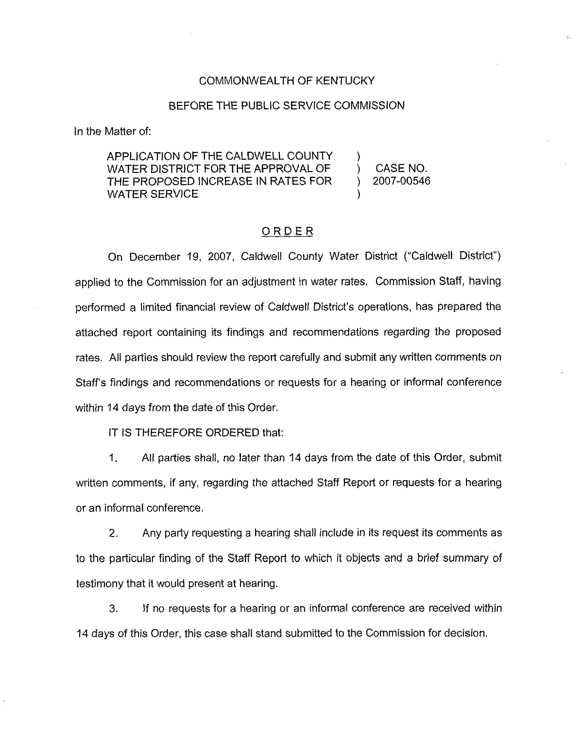#### COMMONWEALTH OF KENTUCKY

#### BEFORE THE PUBLIC SERVICE COMMISSION

ln the Matter of:

APPLICATION OF THE CALDWELL COUNTY WATER DISTRICT FOR THE APPROVAL OF THE PROPOSED INCREASE IN RATES FOR WATER SERVICE

) CASE NO. ) 2007-00546

)

)

#### ORDER

On December 19, 2007, Caldwell County Water District ("Caldwell District") applied to the Commission for an adjustment in water rates. Commission Staff, having performed a limited financial review of Caldwell District's operations, has prepared the attached report containing its findings and recommendations regarding the proposed rates. All parties should review the report carefully and submit any written comments on Staff's findings and recommendations or requests for a hearing or informal conference within 14 days from the date of this Order.

IT IS THEREFORE ORDERED that:

1. All parties shall, no later than 14 days from the date of this Order, submit written comments, if any, regarding the attached Staff Report or requests for a hearing or an informal conference.

2. Any party requesting a hearing shall include in its request its comments as to the particular finding of the Staff Report to which it objects and a brief summary of testimony that it would present at hearing.

3. If no requests for a hearing or an informal conference are received within 14 days of this Order, this case shall stand submitted to the Commission for decision.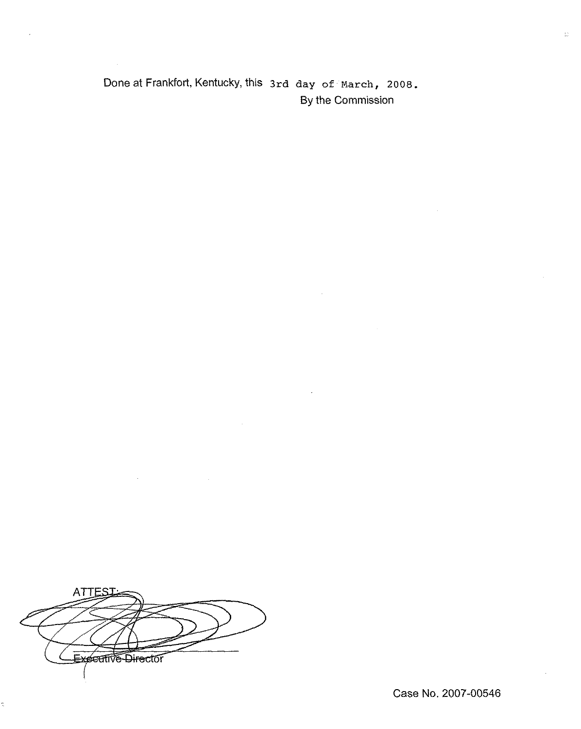# Done at Frankfort, Kentucky, this 3rd day of March, 2008. By the Commission

**ATTES** Expective Director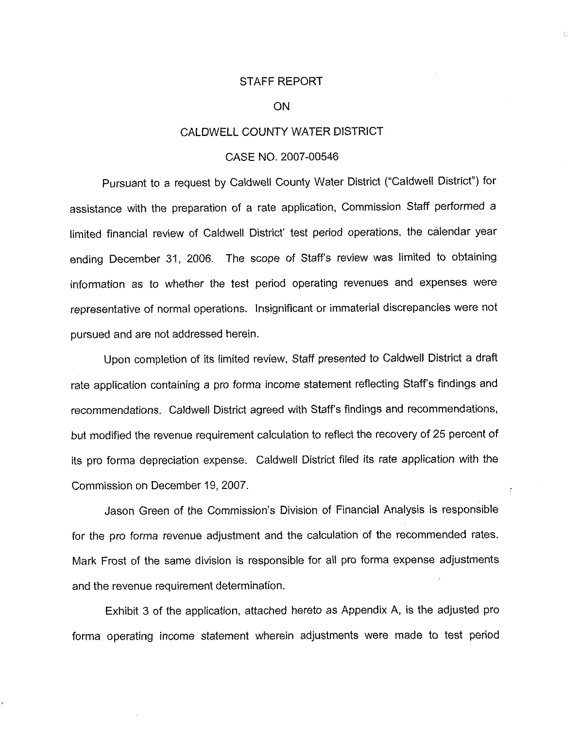#### STAFF REPORT

t.

 $\frac{\partial}{\partial x}$ 

#### **ON**

#### CALDWELL COUNTY WATER DISTRICT

#### CASE NO. 2007-00546

Pursuant to a request by Caldwell County Water District ("Caldwell District"') for assistance with the preparation of a rate application, Commission Staff performed a limited financial review of Caldwell District' test period operations, the calendar year ending December 31, 2006. The scope of Staff's review was limited to obtaining information as to whether the test period operating revenues and expenses were representative of normal operations, Insignificant or immaterial discrepancies were not pursued and are not addressed herein.

Upon completion of its limited review, Staff presented to Caldwell District a draft rate application containing a pro forma income statement reflecting Staff's findings and recommendations. Caidwell District agreed with Staff's findings and recommendations, but modified the revenue requirement calculation to reflect the recovery of 25 percent of its pro forma depreciation expense. Caldweli District filed its rate application with the Commission on December 19, 2007.

Jason Green of the Commission's Division of Financial Analysis is responsible for the pro forma revenue adjustment and the calculation of the recommended rates. Mark Frost of the same division is responsible for all pro forma expense adjustments and the revenue requirement determination.

Exhibit 3 of the application, attached hereto as Appendix A, is the adjusted pro forma operating income statement wherein adjustments were made to test period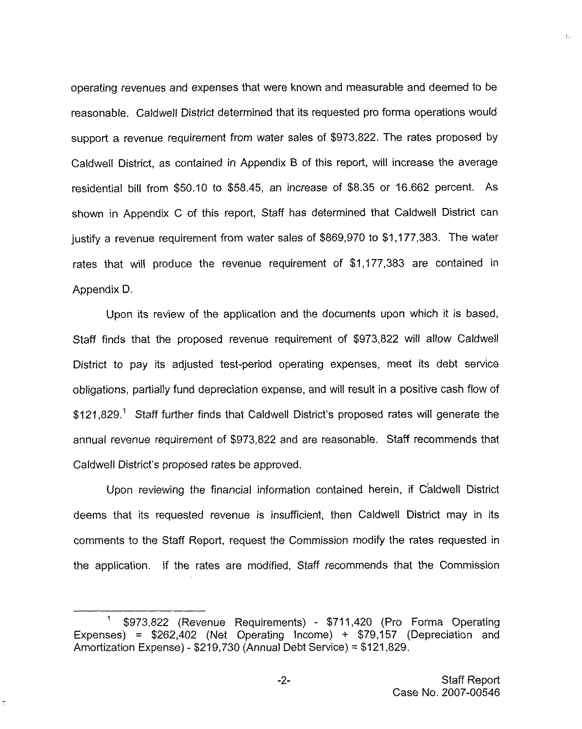operating revenues and expenses that were known and measurable and deemed to be reasonable. Caldwell District determined that its requested pro forma operations would support a revenue requirement from water sales of \$973,822. The rates proposed by Caldweil District, as contained in Appendix B of this report, will increase the average residential bill from \$50.10 to \$58.45, an increase of \$8.35 or 16.662 percent. As shown in Appendix C of this report, Staff has determined that Caldwell District can justify a revenue requirement from water sales of \$869,970 to \$1,177,383. The water rates that will produce the revenue requirement of \$1,177,383 are contained in Appendix D.

Upon its review of the application and the documents upon which it is based, Staff finds that the proposed revenue requirement of \$973,822 will allow Caldwell District to pay its adjusted test-period operating expenses, meet its debt service obligations, parliaily fund depreciation expense, and will result in a positive cash flow of \$121,829.<sup>1</sup> Staff further finds that Caldwell District's proposed rates will generate the annual revenue requirement of \$973,822 and are reasonable. Staff recommends that Caldwell District's proposed rates be approved.

Upon reviewing the financial information contained herein, if C'aldwell District deems that its requested revenue is insufficient, then Caldwell District may in its comments to the Staff Report, request the Commission modify the rates requested in the application. If the rates are modified, Staff recommends that the Commission t.

<sup>\$</sup>973,822 (Revenue Requirements) - \$711,420 (Pro Forma Operating Expenses) =  $$262,402$  (Net Operating Income) +  $$79,157$  (Depreciation and Amortization Expense) - \$219,730 (Annual Debt Service) = \$121,829.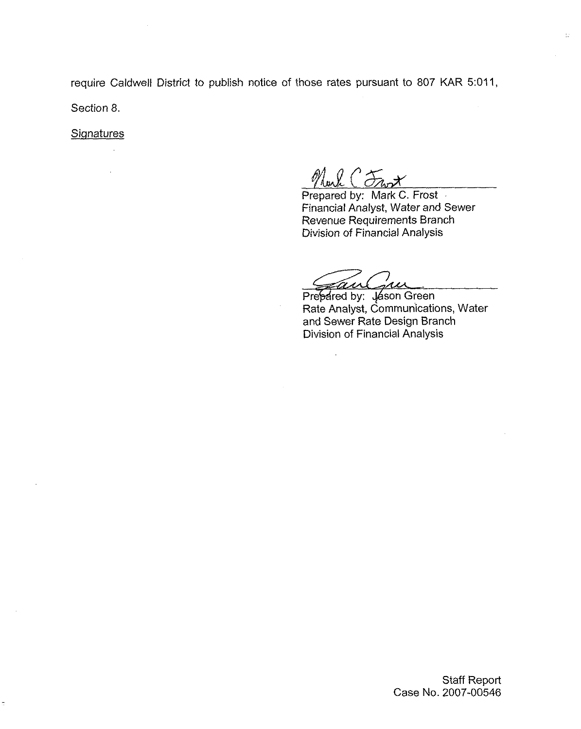require Caldwell District to publish notice of those rates pursuant to 807 KAR 5:011, Section 8.

**Signatures** 

 $\hat{\mathcal{A}}$ 

Prepared by: Mark C. Frost Financial Analyst, Water and Sewer Revenue Requirements Branch Division of Financial Analysis

 $\overline{\mathbb{R}}$ 

Prepared by: Jason Green

Rate Analyst, Communications, Water and Sewer Rate Design Branch Division of Financial Analysis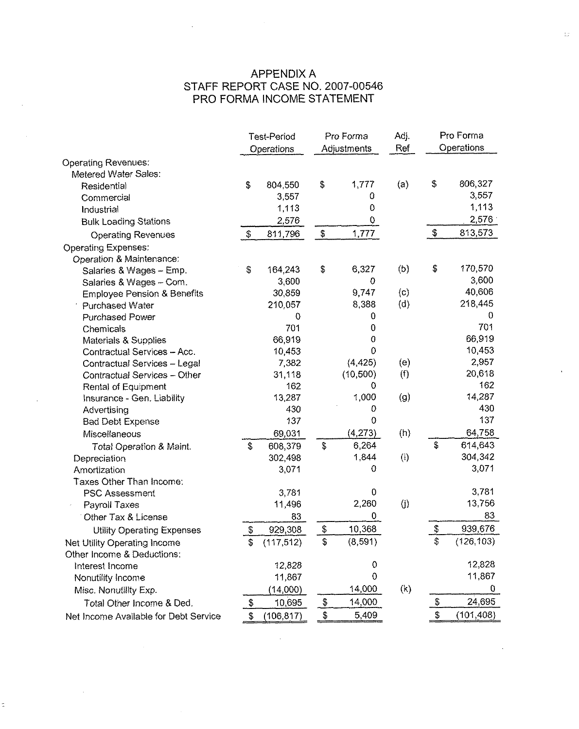# APPENDIX A STAFF REPORT CASE NO. 2007-00546 PRO FORMA INCOME STATEMENT

 $\mathcal{L}$ 

 $\sim$ 

 $\alpha$ 

| Operations<br>Ref                                                              |            |
|--------------------------------------------------------------------------------|------------|
| Operations<br>Adjustments                                                      |            |
| <b>Operating Revenues:</b>                                                     |            |
| Metered Water Sales:                                                           |            |
| \$<br>\$<br>1,777<br>\$<br>(a)<br>804,550<br>Residential                       | 806,327    |
| 0<br>3,557<br>Commercial                                                       | 3,557      |
| 0<br>1,113<br>Industrial                                                       | 1,113      |
| 2,576<br>0<br><b>Bulk Loading Stations</b>                                     | 2,576      |
| \$<br>\$<br>1,777<br>\$<br>811,796<br><b>Operating Revenues</b>                | 813,573    |
| <b>Operating Expenses:</b>                                                     |            |
| Operation & Maintenance:                                                       |            |
| \$<br>\$<br>6,327<br>(b)<br>164,243<br>\$<br>Salaries & Wages - Emp.           | 170,570    |
| 3,600<br>$\mathbf 0$<br>Salaries & Wages - Com.                                | 3,600      |
| 9747<br>$\mathbf{c}$<br>30,859<br><b>Employee Pension &amp; Benefits</b>       | 40,606     |
| 8,388<br>(d)<br>210,057<br>Purchased Water                                     | 218,445    |
| 0<br>0<br><b>Purchased Power</b>                                               | 0          |
| 701<br>0<br>Chemicals                                                          | 701        |
| 66,919<br>0<br>Materials & Supplies                                            | 66,919     |
| 0<br>10,453<br>Contractual Services - Acc.                                     | 10,453     |
| (4, 425)<br>7,382<br>(e)<br>Contractual Services - Legal                       | 2,957      |
| (10, 500)<br>(f)<br>31,118<br><b>Contractual Services - Other</b>              | 20,618     |
| 162<br>0<br>Rental of Equipment                                                | 162        |
| 1,000<br>(g)<br>13,287<br>Insurance - Gen. Liability                           | 14,287     |
| 430<br>0<br>Advertising                                                        | 430        |
| 137<br>$\Omega$<br><b>Bad Debt Expense</b>                                     | 137        |
| (h)<br>(4,273)<br>69,031<br>Miscellaneous                                      | 64,758     |
| \$<br>\$<br>6,264<br>\$<br>608,379<br>Total Operation & Maint.                 | 614,643    |
| 1,844<br>(i)<br>302,498<br>Depreciation                                        | 304,342    |
| 0<br>Amortization<br>3,071                                                     | 3,071      |
| Taxes Other Than Income:                                                       |            |
| 0<br>3,781<br><b>PSC Assessment</b>                                            | 3,781      |
| (i)<br>2,260<br>11,496<br>Payroll Taxes                                        | 13,756     |
| 0<br>83<br>Other Tax & License                                                 | 83         |
| \$<br>\$<br>10,368<br>\$<br>929,308<br><b>Utility Operating Expenses</b>       | 939,676    |
| (8, 591)<br>\$<br>\$<br>(117, 512)<br>\$<br>Net Utility Operating Income       | (126, 103) |
| Other Income & Deductions:                                                     |            |
| $\mathbf 0$<br>12,828<br>Interest Income                                       | 12,828     |
| 0<br>11,867<br>Nonutility Income                                               | 11,867     |
| 14,000<br>(k)<br>(14,000)<br>Misc. Nonutility Exp.                             | 0          |
| 10,695<br>$\frac{3}{2}$<br>\$<br>14,000<br>\$<br>Total Other Income & Ded.     | 24,695     |
| \$<br>\$<br>5,409<br>\$<br>(106, 817)<br>Net Income Available for Debt Service | (101, 408) |

 $\mathcal{L}_{\text{max}}$  and  $\mathcal{L}_{\text{max}}$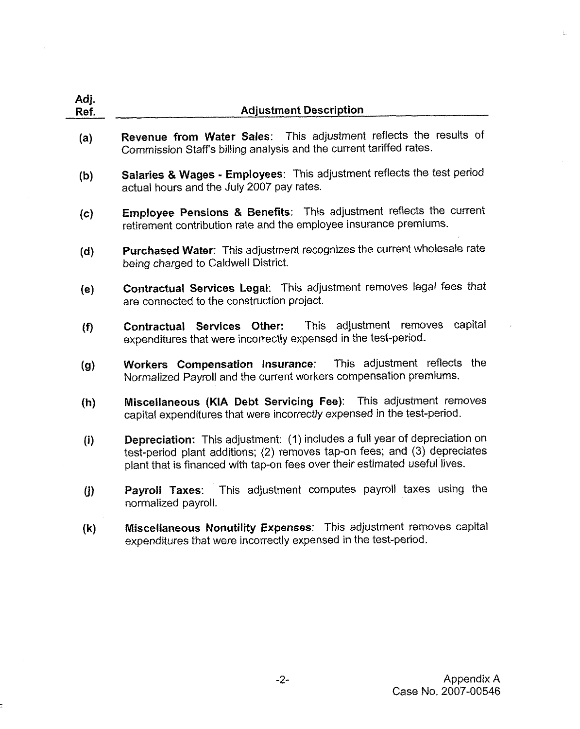| Adj.<br>Ref. | <b>Adjustment Description</b>                                                                                                                                                                                                         |
|--------------|---------------------------------------------------------------------------------------------------------------------------------------------------------------------------------------------------------------------------------------|
| (a)          | Revenue from Water Sales: This adjustment reflects the results of<br>Commission Staff's billing analysis and the current tariffed rates.                                                                                              |
| (b)          | Salaries & Wages - Employees: This adjustment reflects the test period<br>actual hours and the July 2007 pay rates.                                                                                                                   |
| (c)          | Employee Pensions & Benefits: This adjustment reflects the current<br>retirement contribution rate and the employee insurance premiums.                                                                                               |
| (d)          | Purchased Water: This adjustment recognizes the current wholesale rate<br>being charged to Caldwell District.                                                                                                                         |
| (e)          | Contractual Services Legal: This adjustment removes legal fees that<br>are connected to the construction project.                                                                                                                     |
| (f)          | capital<br>This adjustment removes<br>Contractual Services Other:<br>expenditures that were incorrectly expensed in the test-period.                                                                                                  |
| (g)          | Workers Compensation Insurance: This adjustment reflects the<br>Normalized Payroll and the current workers compensation premiums.                                                                                                     |
| (h)          | Miscellaneous (KIA Debt Servicing Fee): This adjustment removes<br>capital expenditures that were incorrectly expensed in the test-period.                                                                                            |
| (i)          | Depreciation: This adjustment: (1) includes a full year of depreciation on<br>test-period plant additions; (2) removes tap-on fees; and (3) depreciates<br>plant that is financed with tap-on fees over their estimated useful lives. |
| $\bf(i)$     | This adjustment computes payroll taxes using the<br>Payroll Taxes:<br>normalized payroll.                                                                                                                                             |
| (k)          | Miscellaneous Nonutility Expenses: This adjustment removes capital<br>expenditures that were incorrectly expensed in the test-period.                                                                                                 |

 $\ddot{\phantom{a}}$ 

 $\ddot{ }$ 

 $\frac{1}{4\pi}$  .

 $\overline{a}$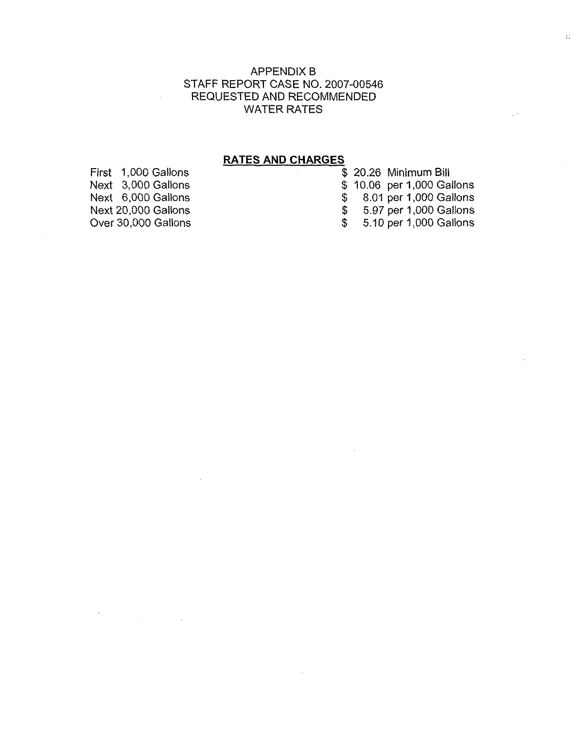### APPENDIX B STAFF REPORT CASE NO. 2007-00546 REQUESTED AND RECOMMENDED WATER RATES

# RATES AND CHARGES

 $\sim$ 

|     | \$ 20.26 Minimum Bill      |
|-----|----------------------------|
|     | \$ 10.06 per 1,000 Gallons |
| SS. | 8.01 per 1,000 Gallons     |
| \$  | 5.97 per 1,000 Gallons     |
| \$. | 5.10 per 1,000 Gallons     |

First 1,000 Gallons Next 3,000 Gallons Next 6,000 Gallons Next 20,000 Gallons Over 30,000 Gallons

 $\mathbf{v}^{\prime}$ 

 $\label{eq:2.1} \frac{1}{\sqrt{2\pi}}\int_{\mathbb{R}^3}\frac{1}{\sqrt{2\pi}}\left(\frac{1}{\sqrt{2\pi}}\right)^2\frac{1}{\sqrt{2\pi}}\int_{\mathbb{R}^3}\frac{1}{\sqrt{2\pi}}\frac{1}{\sqrt{2\pi}}\frac{1}{\sqrt{2\pi}}\frac{1}{\sqrt{2\pi}}\frac{1}{\sqrt{2\pi}}\frac{1}{\sqrt{2\pi}}\frac{1}{\sqrt{2\pi}}\frac{1}{\sqrt{2\pi}}\frac{1}{\sqrt{2\pi}}\frac{1}{\sqrt{2\pi}}\frac{1}{\sqrt{2\pi}}\frac{$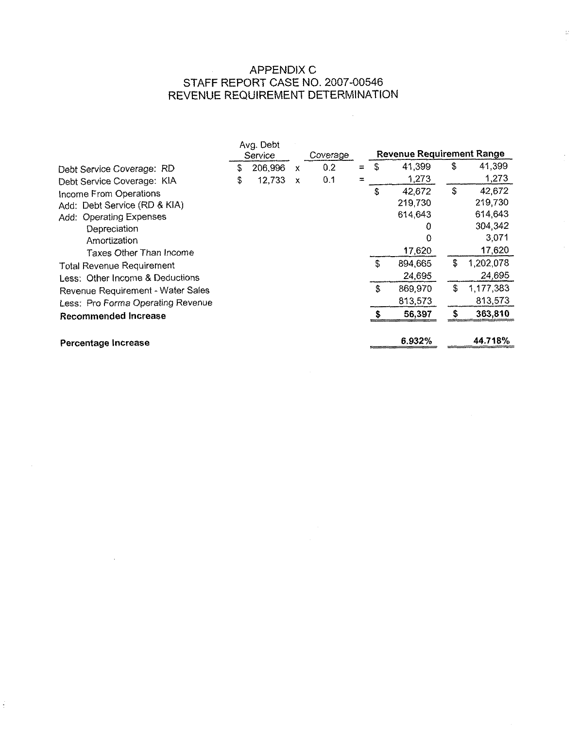# APPENDIX C STAFF REPORT CASE NO. 2007-00546 REVENUE REQUIREMENT DETERMINATION

 $\sim 10$ 

 $\frac{1}{4m}$ 

|                                   | Avg. Debt<br>Service |         |              | Coverage |   | <b>Revenue Requirement Range</b> |         |    |           |
|-----------------------------------|----------------------|---------|--------------|----------|---|----------------------------------|---------|----|-----------|
| Debt Service Coverage: RD         | S                    | 206,996 | x            | 0.2      | ≕ | S                                | 41,399  | \$ | 41,399    |
| Debt Service Coverage: KIA        | \$                   | 12,733  | $\mathsf{x}$ | 0.1      |   |                                  | 1,273   |    | 1,273     |
| Income From Operations            |                      |         |              |          |   | \$                               | 42,672  | S  | 42,672    |
| Add: Debt Service (RD & KIA)      |                      |         |              |          |   |                                  | 219,730 |    | 219,730   |
| Add: Operating Expenses           |                      |         |              |          |   |                                  | 614,643 |    | 614,643   |
| Depreciation                      |                      |         |              |          |   |                                  | 0       |    | 304,342   |
| Amortization                      |                      |         |              |          |   |                                  | 0       |    | 3,071     |
| Taxes Other Than Income           |                      |         |              |          |   |                                  | 17,620  |    | 17,620    |
| <b>Total Revenue Requirement</b>  |                      |         |              |          |   | \$                               | 894,665 | \$ | 1,202,078 |
| Less: Other Income & Deductions   |                      |         |              |          |   |                                  | 24,695  |    | 24,695    |
| Revenue Requirement - Water Sales |                      |         |              |          |   | \$                               | 869,970 | £. | 1,177,383 |
| Less: Pro Forma Operating Revenue |                      |         |              |          |   |                                  | 813,573 |    | 813,573   |
| Recommended Increase              |                      |         |              |          |   | S                                | 56,397  |    | 363,810   |
|                                   |                      |         |              |          |   |                                  |         |    |           |
| Percentage Increase               |                      |         |              |          |   |                                  | 6.932%  |    | 44.718%   |

 $\sim 10^{11}$